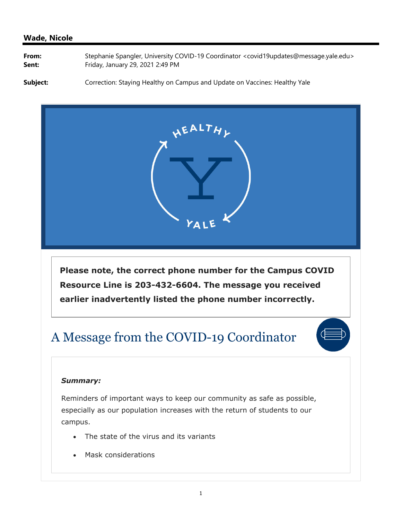#### **Wade, Nicole**

From: Stephanie Spangler, University COVID-19 Coordinator <covid19updates@message.yale.edu> **Sent:** Friday, January 29, 2021 2:49 PM

**Subject:** Correction: Staying Healthy on Campus and Update on Vaccines: Healthy Yale



**Please note, the correct phone number for the Campus COVID Resource Line is 203-432-6604. The message you received earlier inadvertently listed the phone number incorrectly.**

### A Message from the COVID-19 Coordinator



#### *Summary:*

Reminders of important ways to keep our community as safe as possible, especially as our population increases with the return of students to our campus.

- The state of the virus and its variants
- Mask considerations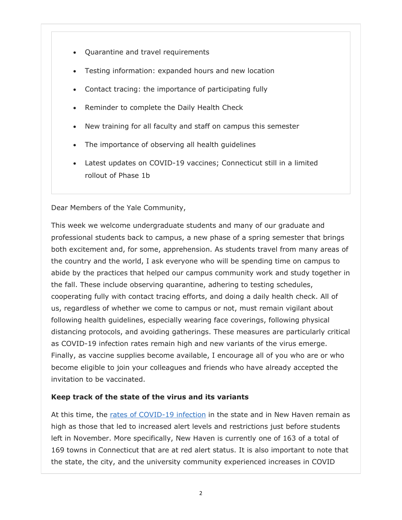- Quarantine and travel requirements
- Testing information: expanded hours and new location
- Contact tracing: the importance of participating fully
- Reminder to complete the Daily Health Check
- New training for all faculty and staff on campus this semester
- The importance of observing all health guidelines
- Latest updates on COVID-19 vaccines; Connecticut still in a limited rollout of Phase 1b

Dear Members of the Yale Community,

This week we welcome undergraduate students and many of our graduate and professional students back to campus, a new phase of a spring semester that brings both excitement and, for some, apprehension. As students travel from many areas of the country and the world, I ask everyone who will be spending time on campus to abide by the practices that helped our campus community work and study together in the fall. These include observing quarantine, adhering to testing schedules, cooperating fully with contact tracing efforts, and doing a daily health check. All of us, regardless of whether we come to campus or not, must remain vigilant about following health guidelines, especially wearing face coverings, following physical distancing protocols, and avoiding gatherings. These measures are particularly critical as COVID-19 infection rates remain high and new variants of the virus emerge. Finally, as vaccine supplies become available, I encourage all of you who are or who become eligible to join your colleagues and friends who have already accepted the invitation to be vaccinated.

#### **Keep track of the state of the virus and its variants**

At this time, the rates of COVID-19 infection in the state and in New Haven remain as high as those that led to increased alert levels and restrictions just before students left in November. More specifically, New Haven is currently one of 163 of a total of 169 towns in Connecticut that are at red alert status. It is also important to note that the state, the city, and the university community experienced increases in COVID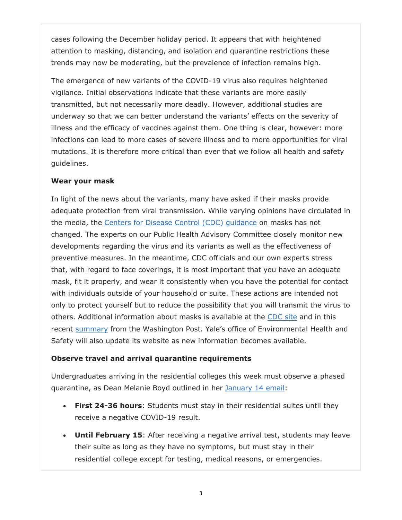cases following the December holiday period. It appears that with heightened attention to masking, distancing, and isolation and quarantine restrictions these trends may now be moderating, but the prevalence of infection remains high.

The emergence of new variants of the COVID-19 virus also requires heightened vigilance. Initial observations indicate that these variants are more easily transmitted, but not necessarily more deadly. However, additional studies are underway so that we can better understand the variants' effects on the severity of illness and the efficacy of vaccines against them. One thing is clear, however: more infections can lead to more cases of severe illness and to more opportunities for viral mutations. It is therefore more critical than ever that we follow all health and safety guidelines.

#### **Wear your mask**

In light of the news about the variants, many have asked if their masks provide adequate protection from viral transmission. While varying opinions have circulated in the media, the Centers for Disease Control (CDC) guidance on masks has not changed. The experts on our Public Health Advisory Committee closely monitor new developments regarding the virus and its variants as well as the effectiveness of preventive measures. In the meantime, CDC officials and our own experts stress that, with regard to face coverings, it is most important that you have an adequate mask, fit it properly, and wear it consistently when you have the potential for contact with individuals outside of your household or suite. These actions are intended not only to protect yourself but to reduce the possibility that you will transmit the virus to others. Additional information about masks is available at the CDC site and in this recent summary from the Washington Post. Yale's office of Environmental Health and Safety will also update its website as new information becomes available.

#### **Observe travel and arrival quarantine requirements**

Undergraduates arriving in the residential colleges this week must observe a phased quarantine, as Dean Melanie Boyd outlined in her January 14 email:

- **First 24-36 hours**: Students must stay in their residential suites until they receive a negative COVID-19 result.
- **Until February 15**: After receiving a negative arrival test, students may leave their suite as long as they have no symptoms, but must stay in their residential college except for testing, medical reasons, or emergencies.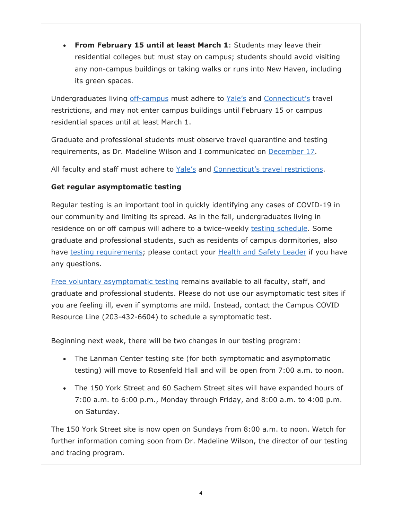**From February 15 until at least March 1**: Students may leave their residential colleges but must stay on campus; students should avoid visiting any non-campus buildings or taking walks or runs into New Haven, including its green spaces.

Undergraduates living off-campus must adhere to Yale's and Connecticut's travel restrictions, and may not enter campus buildings until February 15 or campus residential spaces until at least March 1.

Graduate and professional students must observe travel quarantine and testing requirements, as Dr. Madeline Wilson and I communicated on December 17.

All faculty and staff must adhere to Yale's and Connecticut's travel restrictions.

#### **Get regular asymptomatic testing**

Regular testing is an important tool in quickly identifying any cases of COVID-19 in our community and limiting its spread. As in the fall, undergraduates living in residence on or off campus will adhere to a twice-weekly testing schedule. Some graduate and professional students, such as residents of campus dormitories, also have testing requirements; please contact your Health and Safety Leader if you have any questions.

Free voluntary asymptomatic testing remains available to all faculty, staff, and graduate and professional students. Please do not use our asymptomatic test sites if you are feeling ill, even if symptoms are mild. Instead, contact the Campus COVID Resource Line (203-432-6604) to schedule a symptomatic test.

Beginning next week, there will be two changes in our testing program:

- The Lanman Center testing site (for both symptomatic and asymptomatic testing) will move to Rosenfeld Hall and will be open from 7:00 a.m. to noon.
- The 150 York Street and 60 Sachem Street sites will have expanded hours of 7:00 a.m. to 6:00 p.m., Monday through Friday, and 8:00 a.m. to 4:00 p.m. on Saturday.

The 150 York Street site is now open on Sundays from 8:00 a.m. to noon. Watch for further information coming soon from Dr. Madeline Wilson, the director of our testing and tracing program.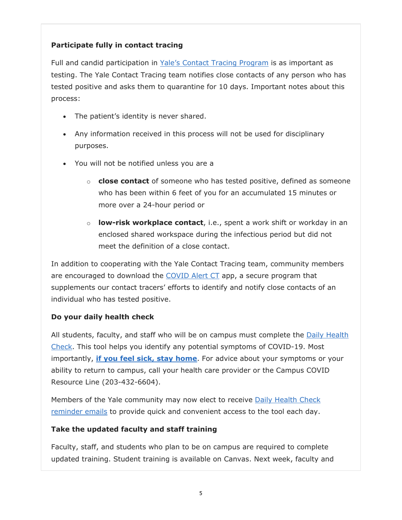#### **Participate fully in contact tracing**

Full and candid participation in Yale's Contact Tracing Program is as important as testing. The Yale Contact Tracing team notifies close contacts of any person who has tested positive and asks them to quarantine for 10 days. Important notes about this process:

- The patient's identity is never shared.
- Any information received in this process will not be used for disciplinary purposes.
- You will not be notified unless you are a
	- o **close contact** of someone who has tested positive, defined as someone who has been within 6 feet of you for an accumulated 15 minutes or more over a 24-hour period or
	- o **low-risk workplace contact**, i.e., spent a work shift or workday in an enclosed shared workspace during the infectious period but did not meet the definition of a close contact.

In addition to cooperating with the Yale Contact Tracing team, community members are encouraged to download the COVID Alert CT app, a secure program that supplements our contact tracers' efforts to identify and notify close contacts of an individual who has tested positive.

#### **Do your daily health check**

All students, faculty, and staff who will be on campus must complete the Daily Health Check. This tool helps you identify any potential symptoms of COVID-19. Most importantly, **if you feel sick, stay home**. For advice about your symptoms or your ability to return to campus, call your health care provider or the Campus COVID Resource Line (203-432-6604).

Members of the Yale community may now elect to receive Daily Health Check reminder emails to provide quick and convenient access to the tool each day.

#### **Take the updated faculty and staff training**

Faculty, staff, and students who plan to be on campus are required to complete updated training. Student training is available on Canvas. Next week, faculty and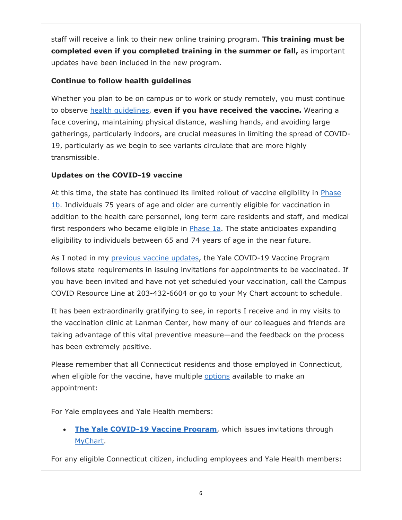staff will receive a link to their new online training program. **This training must be completed even if you completed training in the summer or fall,** as important updates have been included in the new program.

#### **Continue to follow health guidelines**

Whether you plan to be on campus or to work or study remotely, you must continue to observe health guidelines, **even if you have received the vaccine.** Wearing a face covering, maintaining physical distance, washing hands, and avoiding large gatherings, particularly indoors, are crucial measures in limiting the spread of COVID-19, particularly as we begin to see variants circulate that are more highly transmissible.

#### **Updates on the COVID-19 vaccine**

At this time, the state has continued its limited rollout of vaccine eligibility in Phase 1b. Individuals 75 years of age and older are currently eligible for vaccination in addition to the health care personnel, long term care residents and staff, and medical first responders who became eligible in Phase 1a. The state anticipates expanding eligibility to individuals between 65 and 74 years of age in the near future.

As I noted in my previous vaccine updates, the Yale COVID-19 Vaccine Program follows state requirements in issuing invitations for appointments to be vaccinated. If you have been invited and have not yet scheduled your vaccination, call the Campus COVID Resource Line at 203-432-6604 or go to your My Chart account to schedule.

It has been extraordinarily gratifying to see, in reports I receive and in my visits to the vaccination clinic at Lanman Center, how many of our colleagues and friends are taking advantage of this vital preventive measure—and the feedback on the process has been extremely positive.

Please remember that all Connecticut residents and those employed in Connecticut, when eligible for the vaccine, have multiple options available to make an appointment:

For Yale employees and Yale Health members:

**The Yale COVID-19 Vaccine Program**, which issues invitations through MyChart.

For any eligible Connecticut citizen, including employees and Yale Health members: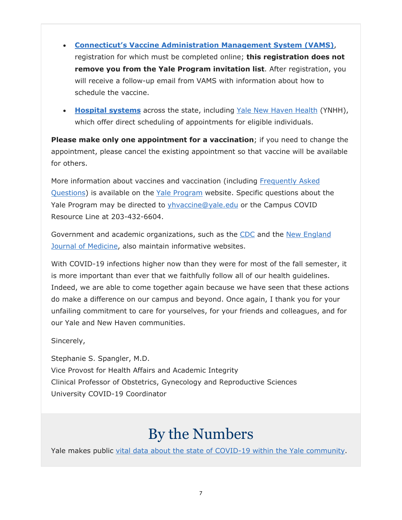- **Connecticut's Vaccine Administration Management System (VAMS)**, registration for which must be completed online; **this registration does not remove you from the Yale Program invitation list**. After registration, you will receive a follow-up email from VAMS with information about how to schedule the vaccine.
- **Hospital systems** across the state, including Yale New Haven Health (YNHH), which offer direct scheduling of appointments for eligible individuals.

**Please make only one appointment for a vaccination**; if you need to change the appointment, please cancel the existing appointment so that vaccine will be available for others.

More information about vaccines and vaccination (including Frequently Asked Questions) is available on the Yale Program website. Specific questions about the Yale Program may be directed to *yhvaccine@yale.edu* or the Campus COVID Resource Line at 203-432-6604.

Government and academic organizations, such as the CDC and the New England Journal of Medicine, also maintain informative websites.

With COVID-19 infections higher now than they were for most of the fall semester, it is more important than ever that we faithfully follow all of our health guidelines. Indeed, we are able to come together again because we have seen that these actions do make a difference on our campus and beyond. Once again, I thank you for your unfailing commitment to care for yourselves, for your friends and colleagues, and for our Yale and New Haven communities.

Sincerely,

Stephanie S. Spangler, M.D. Vice Provost for Health Affairs and Academic Integrity Clinical Professor of Obstetrics, Gynecology and Reproductive Sciences University COVID-19 Coordinator

## By the Numbers

Yale makes public vital data about the state of COVID-19 within the Yale community.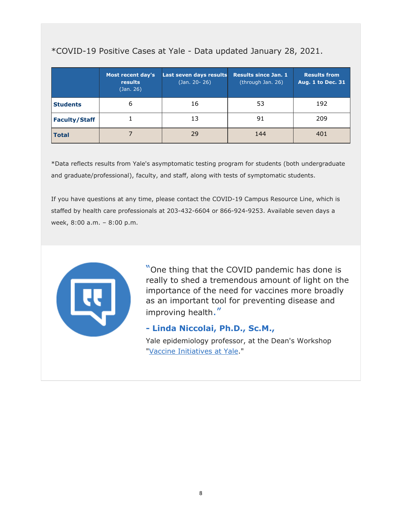|                      | <b>Most recent day's</b><br><b>results</b><br>(Jan. 26) | Last seven days results<br>(Jan. 20- 26) | <b>Results since Jan. 1</b><br>(through Jan. 26) | <b>Results from</b><br><b>Aug. 1 to Dec. 31</b> |
|----------------------|---------------------------------------------------------|------------------------------------------|--------------------------------------------------|-------------------------------------------------|
| <b>Students</b>      | 6                                                       | 16                                       | 53                                               | 192                                             |
| <b>Faculty/Staff</b> |                                                         | 13                                       | 91                                               | 209                                             |
| <b>Total</b>         |                                                         | 29                                       | 144                                              | 401                                             |

#### \*COVID-19 Positive Cases at Yale - Data updated January 28, 2021.

\*Data reflects results from Yale's asymptomatic testing program for students (both undergraduate and graduate/professional), faculty, and staff, along with tests of symptomatic students.

If you have questions at any time, please contact the COVID-19 Campus Resource Line, which is staffed by health care professionals at 203-432-6604 or 866-924-9253. Available seven days a week, 8:00 a.m. – 8:00 p.m.



"One thing that the COVID pandemic has done is really to shed a tremendous amount of light on the importance of the need for vaccines more broadly as an important tool for preventing disease and improving health."

#### **- Linda Niccolai, Ph.D., Sc.M.,**

Yale epidemiology professor, at the Dean's Workshop "Vaccine Initiatives at Yale."